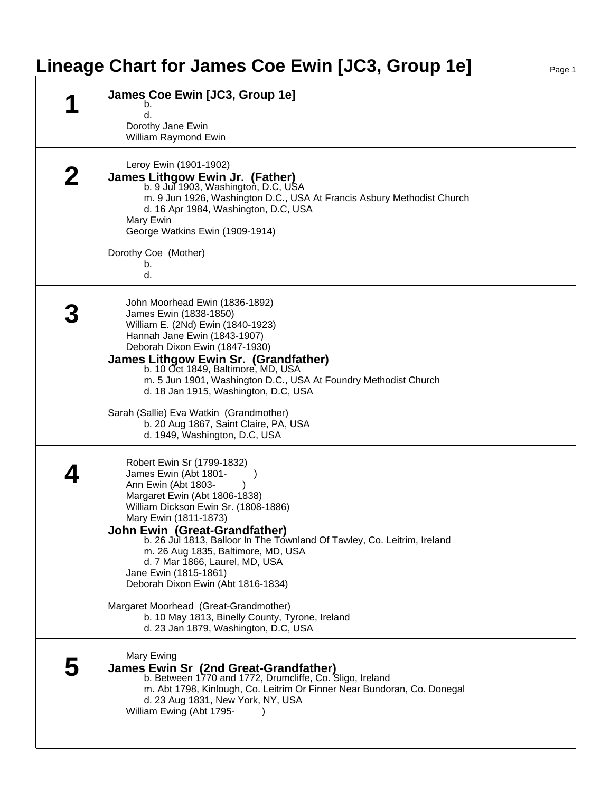## **Lineage Chart for James Coe Ewin [JC3, Group 1e]**

| James Coe Ewin [JC3, Group 1e]<br>b.                                                                                                                                                                                                                                                                                                                                                                                                                                                                                               |
|------------------------------------------------------------------------------------------------------------------------------------------------------------------------------------------------------------------------------------------------------------------------------------------------------------------------------------------------------------------------------------------------------------------------------------------------------------------------------------------------------------------------------------|
| d.<br>Dorothy Jane Ewin<br>William Raymond Ewin                                                                                                                                                                                                                                                                                                                                                                                                                                                                                    |
| Leroy Ewin (1901-1902)<br>James Lithgow Ewin Jr. (Father)<br>b. 9 Jul 1903, Washington, D.C, USA<br>m. 9 Jun 1926, Washington D.C., USA At Francis Asbury Methodist Church<br>d. 16 Apr 1984, Washington, D.C, USA<br>Mary Ewin<br>George Watkins Ewin (1909-1914)<br>Dorothy Coe (Mother)<br>b.<br>d.                                                                                                                                                                                                                             |
| John Moorhead Ewin (1836-1892)<br>James Ewin (1838-1850)<br>William E. (2Nd) Ewin (1840-1923)<br>Hannah Jane Ewin (1843-1907)<br>Deborah Dixon Ewin (1847-1930)<br>James Lithgow Ewin Sr. (Grandfather)<br>b. 10 Oct 1849, Baltimore, MD, USA<br>m. 5 Jun 1901, Washington D.C., USA At Foundry Methodist Church<br>d. 18 Jan 1915, Washington, D.C, USA<br>Sarah (Sallie) Eva Watkin (Grandmother)<br>b. 20 Aug 1867, Saint Claire, PA, USA<br>d. 1949, Washington, D.C, USA                                                      |
| Robert Ewin Sr (1799-1832)<br>James Ewin (Abt 1801-<br>Ann Ewin (Abt 1803-<br>Margaret Ewin (Abt 1806-1838)<br>William Dickson Ewin Sr. (1808-1886)<br>Mary Ewin (1811-1873)<br><b>John Ewin (Great-Grandfather)</b><br>b. 26 Jul 1813, Balloor In The Townland Of Tawley, Co. Leitrim, Ireland<br>m. 26 Aug 1835, Baltimore, MD, USA<br>d. 7 Mar 1866, Laurel, MD, USA<br>Jane Ewin (1815-1861)<br>Deborah Dixon Ewin (Abt 1816-1834)<br>Margaret Moorhead (Great-Grandmother)<br>b. 10 May 1813, Binelly County, Tyrone, Ireland |
| d. 23 Jan 1879, Washington, D.C, USA<br>Mary Ewing<br>James Ewin Sr (2nd Great-Grandfather)<br>b. Between 1770 and 1772, Drumcliffe, Co. Sligo, Ireland<br>m. Abt 1798, Kinlough, Co. Leitrim Or Finner Near Bundoran, Co. Donegal<br>d. 23 Aug 1831, New York, NY, USA<br>William Ewing (Abt 1795-                                                                                                                                                                                                                                |